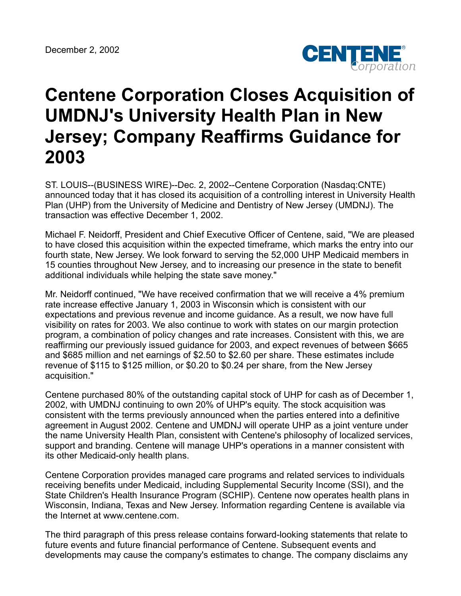

## **Centene Corporation Closes Acquisition of UMDNJ's University Health Plan in New Jersey; Company Reaffirms Guidance for 2003**

ST. LOUIS--(BUSINESS WIRE)--Dec. 2, 2002--Centene Corporation (Nasdaq:CNTE) announced today that it has closed its acquisition of a controlling interest in University Health Plan (UHP) from the University of Medicine and Dentistry of New Jersey (UMDNJ). The transaction was effective December 1, 2002.

Michael F. Neidorff, President and Chief Executive Officer of Centene, said, "We are pleased to have closed this acquisition within the expected timeframe, which marks the entry into our fourth state, New Jersey. We look forward to serving the 52,000 UHP Medicaid members in 15 counties throughout New Jersey, and to increasing our presence in the state to benefit additional individuals while helping the state save money."

Mr. Neidorff continued, "We have received confirmation that we will receive a 4% premium rate increase effective January 1, 2003 in Wisconsin which is consistent with our expectations and previous revenue and income guidance. As a result, we now have full visibility on rates for 2003. We also continue to work with states on our margin protection program, a combination of policy changes and rate increases. Consistent with this, we are reaffirming our previously issued guidance for 2003, and expect revenues of between \$665 and \$685 million and net earnings of \$2.50 to \$2.60 per share. These estimates include revenue of \$115 to \$125 million, or \$0.20 to \$0.24 per share, from the New Jersey acquisition."

Centene purchased 80% of the outstanding capital stock of UHP for cash as of December 1, 2002, with UMDNJ continuing to own 20% of UHP's equity. The stock acquisition was consistent with the terms previously announced when the parties entered into a definitive agreement in August 2002. Centene and UMDNJ will operate UHP as a joint venture under the name University Health Plan, consistent with Centene's philosophy of localized services, support and branding. Centene will manage UHP's operations in a manner consistent with its other Medicaid-only health plans.

Centene Corporation provides managed care programs and related services to individuals receiving benefits under Medicaid, including Supplemental Security Income (SSI), and the State Children's Health Insurance Program (SCHIP). Centene now operates health plans in Wisconsin, Indiana, Texas and New Jersey. Information regarding Centene is available via the Internet at www.centene.com.

The third paragraph of this press release contains forward-looking statements that relate to future events and future financial performance of Centene. Subsequent events and developments may cause the company's estimates to change. The company disclaims any